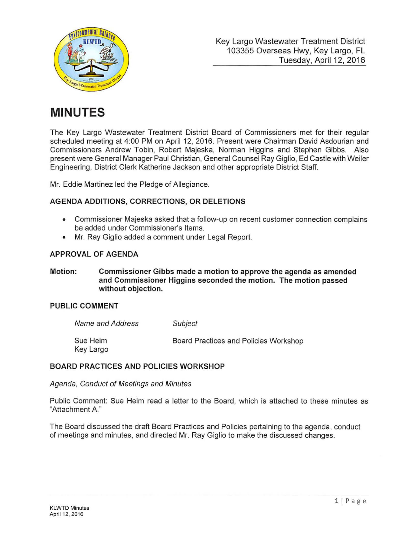

# **MINUTES**

The Key Largo Wastewater Treatment District Board of Commissioners met for their regular scheduled meeting at 4:00 PM on April 12, 2016. Present were Chairman David Asdourian and Commissioners Andrew Tobin, Robert Majeska, Norman Higgins and Stephen Gibbs. Also present were General Manager Paul Christian, General Counsel Ray Giglio, Ed Castle with Weiler Engineering, District Clerk Katherine Jackson and other appropriate District Staff.

Mr. Eddie Martinez led the Pledge of Allegiance.

### **AGENDA ADDITIONS, CORRECTIONS, OR DELETIONS**

- Commissioner Majeska asked that a follow-up on recent customer connection complains be added under Commissioner's Items.
- Mr. Ray Giglio added a comment under Legal Report.

#### **APPROVAL OF AGENDA**

**Motion: Commissioner Gibbs made a motion to approve the agenda as amended and Commissioner Higgins seconded the motion. The motion passed without objection.** 

#### **PUBLIC COMMENT**

| Name and Address      | Subject                               |
|-----------------------|---------------------------------------|
| Sue Heim<br>Key Largo | Board Practices and Policies Workshop |

#### **BOARD PRACTICES AND POLICIES WORKSHOP**

Agenda, Conduct of Meetings and Minutes

Public Comment: Sue Heim read a letter to the Board, which is attached to these minutes as "Attachment A "

The Board discussed the draft Board Practices and Policies pertaining to the agenda, conduct of meetings and minutes, and directed Mr. Ray Giglio to make the discussed changes.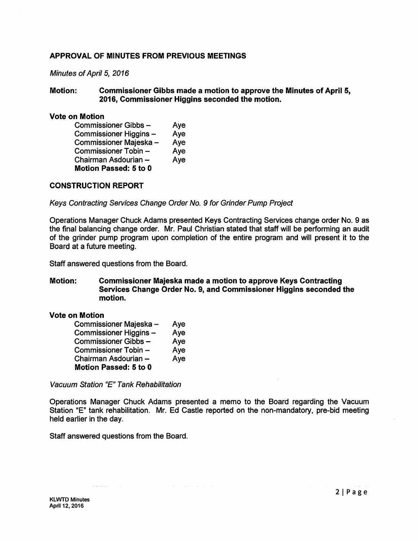#### APPROVAL OF MINUTES FROM PREVIOUS MEETINGS

#### Minutes of April 5, 2016

#### Motion: Commissioner Gibbs made a motion to approve the Minutes of April 5, 2016, Commissioner Higgins seconded the motion.

#### Vote on Motion

| Commissioner Gibbs-          | Aye |
|------------------------------|-----|
| Commissioner Higgins –       | Aye |
| Commissioner Majeska –       | Aye |
| Commissioner Tobin -         | Aye |
| Chairman Asdourian –         | Aye |
| <b>Motion Passed: 5 to 0</b> |     |

#### CONSTRUCTION REPORT

Keys Contracting Services Change Order No. 9 for Grinder Pump Project

Operations Manager Chuck Adams presented Keys Contracting Services change order No. 9 as the final balancing change order. Mr. Paul Christian stated that staff will be performing an audit of the grinder pump program upon completion of the entire program and will present it to the Board at a future meeting.

Staff answered questions from the Board.

#### Motion: Commissioner Majeska made a motion to approve Keys Contracting Services Change Order No. 9, and Commissioner Higgins seconded the motion.

#### Vote on Motion

| Commissioner Majeska -       | Aye |
|------------------------------|-----|
| Commissioner Higgins -       | Aye |
| Commissioner Gibbs-          | Aye |
| Commissioner Tobin -         | Aye |
| Chairman Asdourian -         | Aye |
| <b>Motion Passed: 5 to 0</b> |     |

Vacuum Station "E" Tank Rehabilitation

Operations Manager Chuck Adams presented a memo to the Board regarding the Vacuum Station "E" tank rehabilitation. Mr. Ed Castle reported on the non-mandatory, pre-bid meeting held earlier in the day.

 $\sim$ 

Staff answered questions from the Board.

المناوب والمتعاون والمستوعب والمتعارف والمتعارف والمتعارف والمتعارف المتعارف والمتعاطف والمستحقق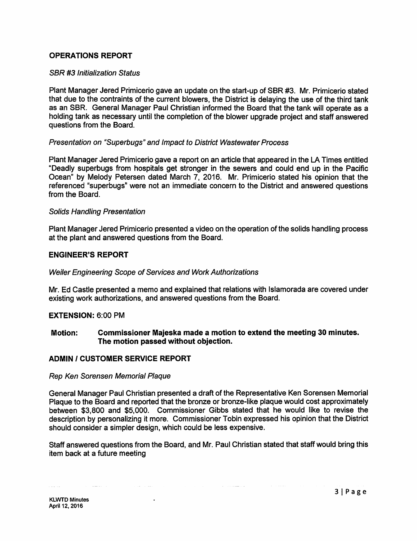#### OPERATIONS REPORT

#### SBR #3 Initialization Status

Plant Manager Jered Primicerio gave an update on the start-up of SBR #3. Mr. Primicerio stated that due to the contraints of the current blowers, the District is delaying the use of the third tank as an SBR. General Manager Paul Christian informed the Board that the tank will operate as a holding tank as necessary until the completion of the blower upgrade project and staff answered questions from the Board.

#### Presentation on "Superbugs" and Impact to District Wastewater Process

Plant Manager Jered Primicerio gave a report on an article that appeared in the LA Times entitled "Deadly superbugs from hospitals get stronger in the sewers and could end up in the Pacific Ocean" by Melody Petersen dated March 7, 2016. Mr. Primicerio stated his opinion that the referenced "superbugs" were not an immediate concern to the District and answered questions from the Board.

#### Solids Handling Presentation

Plant Manager Jered Primicerio presented a video on the operation of the solids handling process at the plant and answered questions from the Board.

#### ENGINEER'S REPORT

#### Weiler Engineering Scope of Services and Work Authorizations

Mr. Ed Castle presented a memo and explained that relations with lslamorada are covered under existing work authorizations, and answered questions from the Board.

#### EXTENSION: 6:00 PM

#### Motion: Commissioner Majeska made a motion to extend the meeting 30 minutes. The motion passed without objection.

#### ADMIN I CUSTOMER SERVICE REPORT

 $\mathcal{L}^{\mathcal{L}}$  . The mass of the set of the set of the set of the set of the set of

 $\bullet$ 

#### Rep Ken Sorensen Memorial Plaque

General Manager Paul Christian presented a draft of the Representative Ken Sorensen Memorial Plaque to the Board and reported that the bronze or bronze-like plaque would cost approximately between \$3,800 and \$5,000. Commissioner Gibbs stated that he would like to revise the description by personalizing it more. Commissioner Tobin expressed his opinion that the District should consider a simpler design, which could be less expensive.

Staff answered questions from the Board, and Mr. Paul Christian stated that staff would bring this item back at a future meeting

a sa matangan sa kal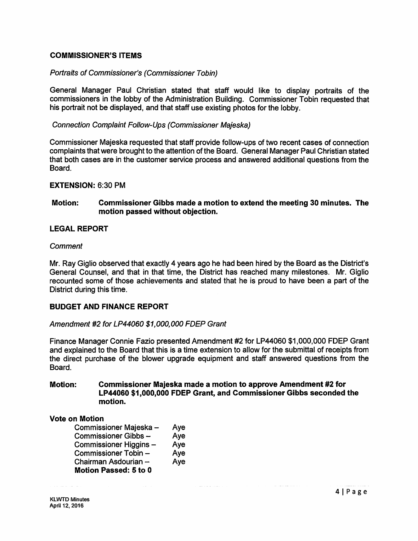#### COMMISSIONER'S ITEMS

#### Portraits of Commissioner's (Commissioner Tobin)

General Manager Paul Christian stated that staff would like to display portraits of the commissioners in the lobby of the Administration Building. Commissioner Tobin requested that his portrait not be displayed, and that staff use existing photos for the lobby.

#### Connection Complaint Follow-Ups (Commissioner Majeska)

Commissioner Majeska requested that staff provide follow-ups of two recent cases of connection complaints that were brought to the attention of the Board. General Manager Paul Christian stated that both cases are in the customer service process and answered additional questions from the Board.

#### EXTENSION: 6:30 PM

#### Motion: Commissioner Gibbs made a motion to extend the meeting 30 minutes. The motion passed without objection.

#### LEGAL REPORT

#### **Comment**

Mr. Ray Giglio observed that exactly 4 years ago he had been hired by the Board as the District's General Counsel, and that in that time, the District has reached many milestones. Mr. Giglio recounted some of those achievements and stated that he is proud to have been a part of the District during this time.

#### BUDGET AND FINANCE REPORT

#### Amendment #2 for LP44060 \$1,000,000 FDEP Grant

Finance Manager Connie Fazio presented Amendment #2 for LP44060 \$1,000,000 FDEP Grant and explained to the Board that this is a time extension to allow for the submittal of receipts from the direct purchase of the blower upgrade equipment and staff answered questions from the Board.

#### Motion: Commissioner Majeska made a motion to approve Amendment #2 for LP44060 \$1,000,000 FDEP Grant, and Commissioner Gibbs seconded the motion.

المستحدث والمنافذة

#### Vote on Motion

| Commissioner Majeska –       | Aye |
|------------------------------|-----|
| Commissioner Gibbs-          | Aye |
| Commissioner Higgins –       | Aye |
| Commissioner Tobin -         | Aye |
| Chairman Asdourian –         | Aye |
| <b>Motion Passed: 5 to 0</b> |     |

الماريون المراجع والأمر

and the company of the company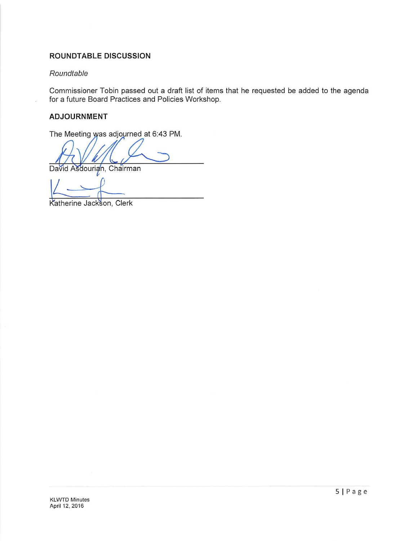### **ROUNDTABLE DISCUSSION**

#### Roundtable

Commissioner Tobin passed out a draft list of items that he requested be added to the agenda for a future Board Practices and Policies Workshop.

#### **ADJOURNMENT**

The Meeting was adjourned at 6:43 PM.

David Asdourian, Chairman

Katherine Jackson, Clerk